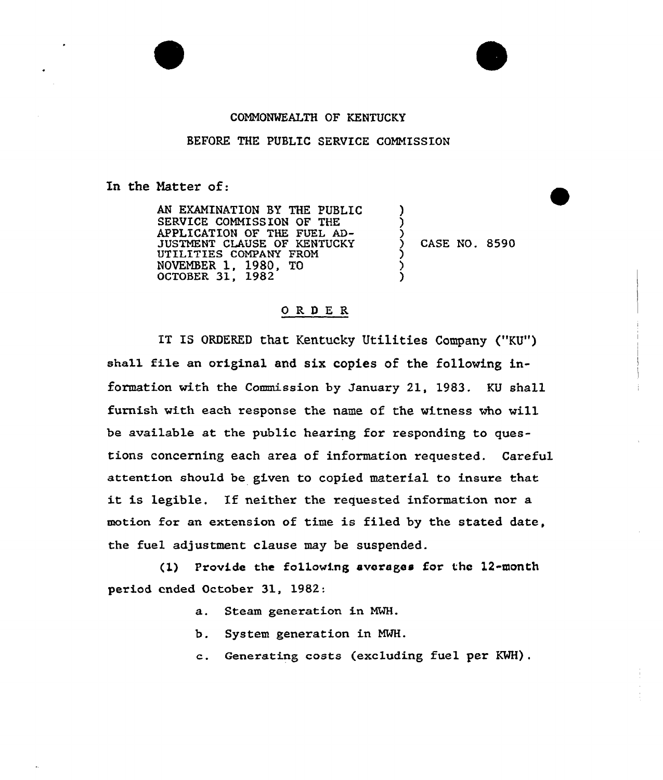## CONNONWEALTH OF KENTUCKY

## BEFORE THE PUBLIC SERVICE COMNISSION

In the Natter of:

AN EXANINATION BY THE PUBLIC SERVICE COMMISSION OF THE APPLICATION OF THE FUEL AD-JUSTMENT CLAUSE OF KENTUCKY UTILITIES COMPANY FROM NOVEMBER 1, 1980, TO OCTOBER 31, 1982

) CASE NO. 8590

) ) ز<br>>

ز<br>} ز<br>> )

## ORDER

IT IS ORDERED that Kentucky Utilities Company ("KU") shall file an original and six copies of the following information with the Commission by January 21, 1983. KU shall furnish with each response the name of the witness who will be available at the public hearing for responding to questions concerning each area of information requested. Careful attention should be given to copied material to insure that it is legible. If neither the requested information nor <sup>a</sup> motion for an extension of time is filed by the stated date, the fuel adjustment clause may be suspended.

(1) Provide the following averages for the 12-month period ended October 31, 1982:

- a. Steam generation in MWH.
- b. System generation in NWH.
- c. Generating costs (excluding fuel per KWH).